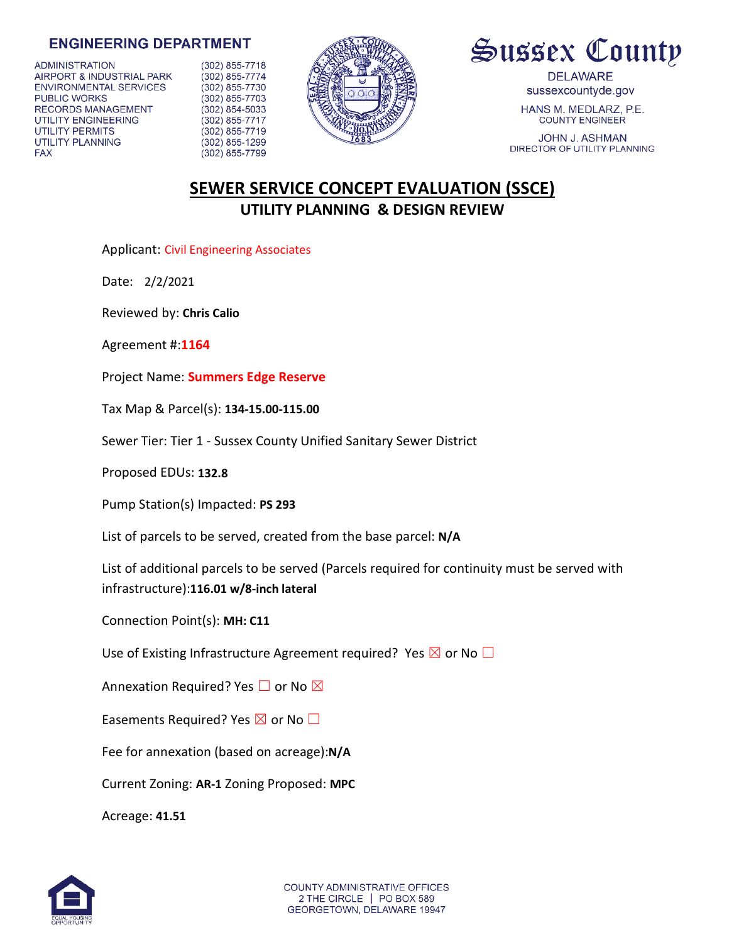## **ENGINEERING DEPARTMENT**

**ADMINISTRATION** AIRPORT & INDUSTRIAL PARK **ENVIRONMENTAL SERVICES** PUBLIC WORKS RECORDS MANAGEMENT UTILITY ENGINEERING UTILITY PERMITS **UTILITY PLANNING FAX** 

(302) 855-7718 (302) 855-7774 (302) 855-7730 (302) 855-7703 (302) 854-5033 (302) 855-7717 (302) 855-7719  $(302)$  855-1299 (302) 855-7799





**DELAWARE** sussexcountyde.gov

HANS M. MEDLARZ, P.E. **COUNTY ENGINEER** 

JOHN J. ASHMAN DIRECTOR OF UTILITY PLANNING

## **SEWER SERVICE CONCEPT EVALUATION (SSCE) UTILITY PLANNING & DESIGN REVIEW**

Applicant: Civil Engineering Associates

Date: 2/2/2021

Reviewed by: **Chris Calio**

Agreement #:**1164**

Project Name: **Summers Edge Reserve**

Tax Map & Parcel(s): **134-15.00-115.00**

Sewer Tier: Tier 1 - Sussex County Unified Sanitary Sewer District

Proposed EDUs: **132.8**

Pump Station(s) Impacted: **PS 293**

List of parcels to be served, created from the base parcel: **N/A**

List of additional parcels to be served (Parcels required for continuity must be served with infrastructure):**116.01 w/8-inch lateral**

Connection Point(s): **MH: C11**

Use of Existing Infrastructure Agreement required? Yes  $\boxtimes$  or No  $\Box$ 

Annexation Required? Yes  $\Box$  or No  $\boxtimes$ 

Easements Required? Yes  $\boxtimes$  or No  $\Box$ 

Fee for annexation (based on acreage):**N/A**

Current Zoning: **AR-1** Zoning Proposed: **MPC**

Acreage: **41.51**